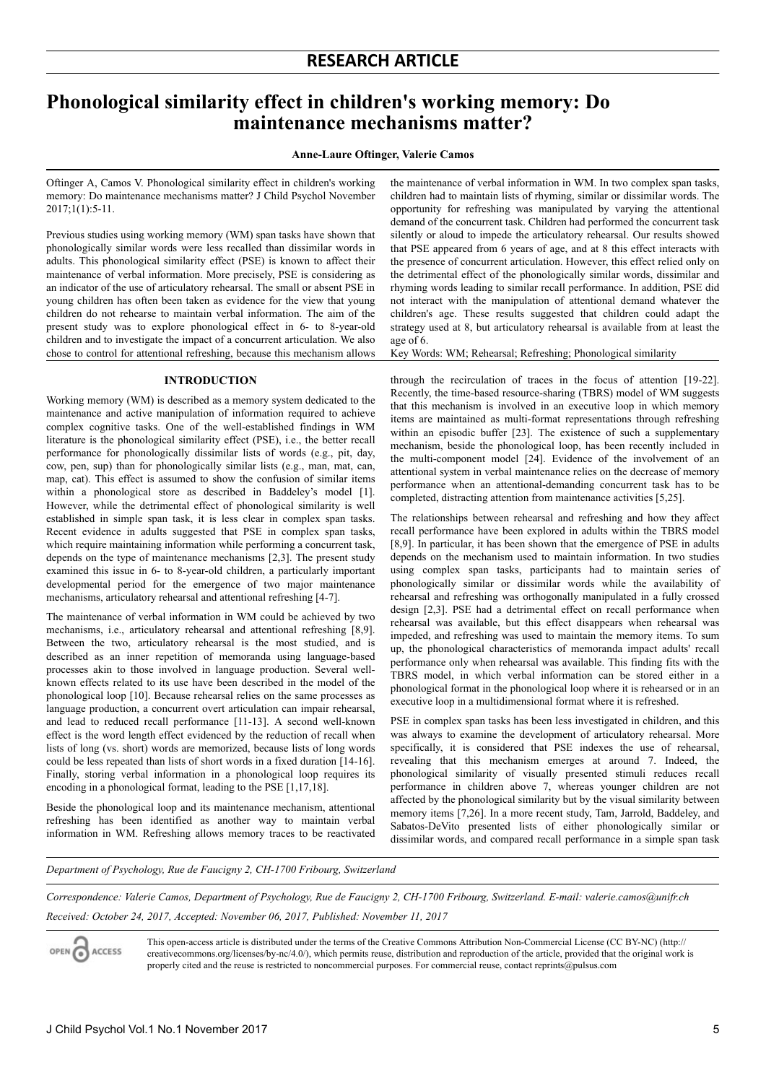# **Phonological similarity effect in children's working memory: Do maintenance mechanisms matter?**

#### **Anne-Laure Oftinger, Valerie Camos**

Oftinger A, Camos V. Phonological similarity effect in children's working memory: Do maintenance mechanisms matter? J Child Psychol November 2017;1(1):5-11.

Previous studies using working memory (WM) span tasks have shown that phonologically similar words were less recalled than dissimilar words in adults. This phonological similarity effect (PSE) is known to affect their maintenance of verbal information. More precisely, PSE is considering as an indicator of the use of articulatory rehearsal. The small or absent PSE in young children has often been taken as evidence for the view that young children do not rehearse to maintain verbal information. The aim of the present study was to explore phonological effect in 6- to 8-year-old children and to investigate the impact of a concurrent articulation. We also chose to control for attentional refreshing, because this mechanism allows

#### **INTRODUCTION**

Working memory (WM) is described as a memory system dedicated to the maintenance and active manipulation of information required to achieve complex cognitive tasks. One of the well-established findings in WM literature is the phonological similarity effect (PSE), i.e., the better recall performance for phonologically dissimilar lists of words (e.g., pit, day, cow, pen, sup) than for phonologically similar lists (e.g., man, mat, can, map, cat). This effect is assumed to show the confusion of similar items within a phonological store as described in Baddeley's model [1]. However, while the detrimental effect of phonological similarity is well established in simple span task, it is less clear in complex span tasks. Recent evidence in adults suggested that PSE in complex span tasks, which require maintaining information while performing a concurrent task, depends on the type of maintenance mechanisms [2,3]. The present study examined this issue in 6- to 8-year-old children, a particularly important developmental period for the emergence of two major maintenance mechanisms, articulatory rehearsal and attentional refreshing [4-7].

The maintenance of verbal information in WM could be achieved by two mechanisms, i.e., articulatory rehearsal and attentional refreshing [8,9]. Between the two, articulatory rehearsal is the most studied, and is described as an inner repetition of memoranda using language-based processes akin to those involved in language production. Several wellknown effects related to its use have been described in the model of the phonological loop [10]. Because rehearsal relies on the same processes as language production, a concurrent overt articulation can impair rehearsal, and lead to reduced recall performance [11-13]. A second well-known effect is the word length effect evidenced by the reduction of recall when lists of long (vs. short) words are memorized, because lists of long words could be less repeated than lists of short words in a fixed duration [14-16]. Finally, storing verbal information in a phonological loop requires its encoding in a phonological format, leading to the PSE [1,17,18].

Beside the phonological loop and its maintenance mechanism, attentional refreshing has been identified as another way to maintain verbal information in WM. Refreshing allows memory traces to be reactivated

the maintenance of verbal information in WM. In two complex span tasks, children had to maintain lists of rhyming, similar or dissimilar words. The opportunity for refreshing was manipulated by varying the attentional demand of the concurrent task. Children had performed the concurrent task silently or aloud to impede the articulatory rehearsal. Our results showed that PSE appeared from 6 years of age, and at 8 this effect interacts with the presence of concurrent articulation. However, this effect relied only on the detrimental effect of the phonologically similar words, dissimilar and rhyming words leading to similar recall performance. In addition, PSE did not interact with the manipulation of attentional demand whatever the children's age. These results suggested that children could adapt the strategy used at 8, but articulatory rehearsal is available from at least the age of 6.

Key Words: WM; Rehearsal; Refreshing; Phonological similarity

through the recirculation of traces in the focus of attention [19-22]. Recently, the time-based resource-sharing (TBRS) model of WM suggests that this mechanism is involved in an executive loop in which memory items are maintained as multi-format representations through refreshing within an episodic buffer [23]. The existence of such a supplementary mechanism, beside the phonological loop, has been recently included in the multi-component model [24]. Evidence of the involvement of an attentional system in verbal maintenance relies on the decrease of memory performance when an attentional-demanding concurrent task has to be completed, distracting attention from maintenance activities [5,25].

The relationships between rehearsal and refreshing and how they affect recall performance have been explored in adults within the TBRS model [8,9]. In particular, it has been shown that the emergence of PSE in adults depends on the mechanism used to maintain information. In two studies using complex span tasks, participants had to maintain series of phonologically similar or dissimilar words while the availability of rehearsal and refreshing was orthogonally manipulated in a fully crossed design [2,3]. PSE had a detrimental effect on recall performance when rehearsal was available, but this effect disappears when rehearsal was impeded, and refreshing was used to maintain the memory items. To sum up, the phonological characteristics of memoranda impact adults' recall performance only when rehearsal was available. This finding fits with the TBRS model, in which verbal information can be stored either in a phonological format in the phonological loop where it is rehearsed or in an executive loop in a multidimensional format where it is refreshed.

PSE in complex span tasks has been less investigated in children, and this was always to examine the development of articulatory rehearsal. More specifically, it is considered that PSE indexes the use of rehearsal, revealing that this mechanism emerges at around 7. Indeed, the phonological similarity of visually presented stimuli reduces recall performance in children above 7, whereas younger children are not affected by the phonological similarity but by the visual similarity between memory items [7,26]. In a more recent study, Tam, Jarrold, Baddeley, and Sabatos-DeVito presented lists of either phonologically similar or dissimilar words, and compared recall performance in a simple span task

*Department of Psychology, Rue de Faucigny 2, CH-1700 Fribourg, Switzerland*

*Correspondence: Valerie Camos, Department of Psychology, Rue de Faucigny 2, CH-1700 Fribourg, Switzerland. E-mail: valerie.camos@unifr.ch Received: October 24, 2017, Accepted: November 06, 2017, Published: November 11, 2017*

OPEN CO ACCESS

This open-access article is distributed under the terms of the Creative Commons Attribution Non-Commercial License (CC BY-NC) (http:// creativecommons.org/licenses/by-nc/4.0/), which permits reuse, distribution and reproduction of the article, provided that the original work is properly cited and the reuse is restricted to noncommercial purposes. For commercial reuse, contact reprints@pulsus.com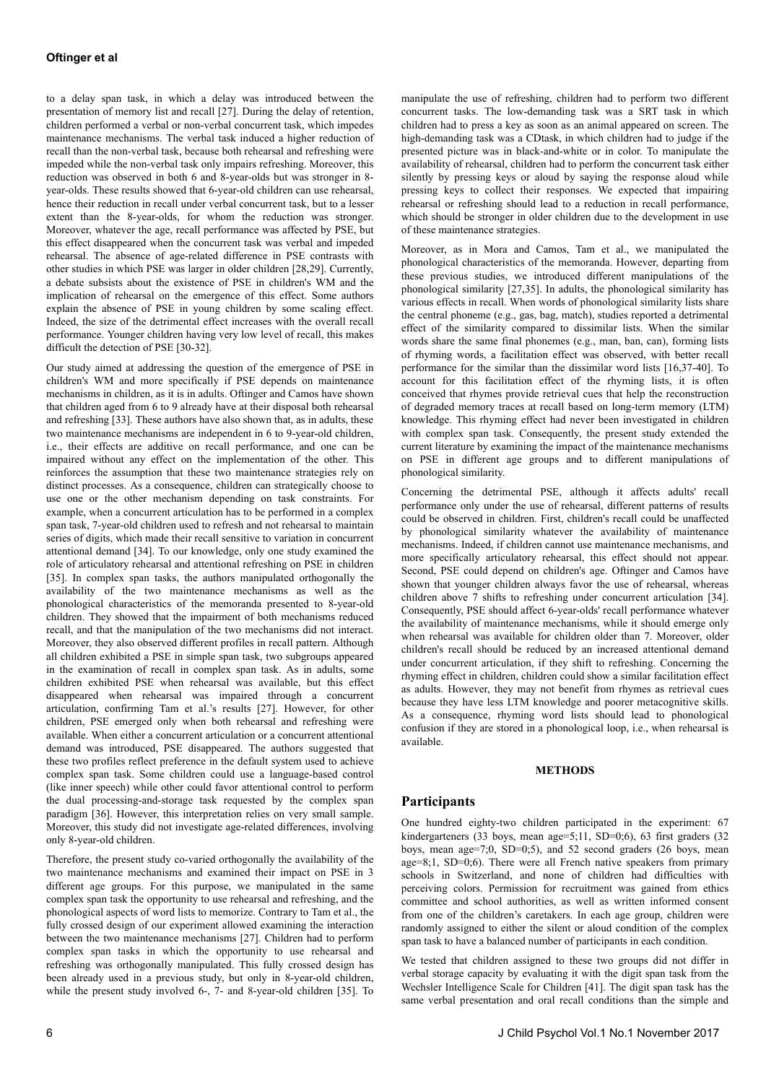to a delay span task, in which a delay was introduced between the presentation of memory list and recall [27]. During the delay of retention, children performed a verbal or non-verbal concurrent task, which impedes maintenance mechanisms. The verbal task induced a higher reduction of recall than the non-verbal task, because both rehearsal and refreshing were impeded while the non-verbal task only impairs refreshing. Moreover, this reduction was observed in both 6 and 8-year-olds but was stronger in 8 year-olds. These results showed that 6-year-old children can use rehearsal, hence their reduction in recall under verbal concurrent task, but to a lesser extent than the 8-year-olds, for whom the reduction was stronger. Moreover, whatever the age, recall performance was affected by PSE, but this effect disappeared when the concurrent task was verbal and impeded rehearsal. The absence of age-related difference in PSE contrasts with other studies in which PSE was larger in older children [28,29]. Currently, a debate subsists about the existence of PSE in children's WM and the implication of rehearsal on the emergence of this effect. Some authors explain the absence of PSE in young children by some scaling effect. Indeed, the size of the detrimental effect increases with the overall recall performance. Younger children having very low level of recall, this makes difficult the detection of PSE [30-32].

Our study aimed at addressing the question of the emergence of PSE in children's WM and more specifically if PSE depends on maintenance mechanisms in children, as it is in adults. Oftinger and Camos have shown that children aged from 6 to 9 already have at their disposal both rehearsal and refreshing [33]. These authors have also shown that, as in adults, these two maintenance mechanisms are independent in 6 to 9-year-old children, i.e., their effects are additive on recall performance, and one can be impaired without any effect on the implementation of the other. This reinforces the assumption that these two maintenance strategies rely on distinct processes. As a consequence, children can strategically choose to use one or the other mechanism depending on task constraints. For example, when a concurrent articulation has to be performed in a complex span task, 7-year-old children used to refresh and not rehearsal to maintain series of digits, which made their recall sensitive to variation in concurrent attentional demand [34]. To our knowledge, only one study examined the role of articulatory rehearsal and attentional refreshing on PSE in children [35]. In complex span tasks, the authors manipulated orthogonally the availability of the two maintenance mechanisms as well as the phonological characteristics of the memoranda presented to 8-year-old children. They showed that the impairment of both mechanisms reduced recall, and that the manipulation of the two mechanisms did not interact. Moreover, they also observed different profiles in recall pattern. Although all children exhibited a PSE in simple span task, two subgroups appeared in the examination of recall in complex span task. As in adults, some children exhibited PSE when rehearsal was available, but this effect disappeared when rehearsal was impaired through a concurrent articulation, confirming Tam et al.'s results [27]. However, for other children, PSE emerged only when both rehearsal and refreshing were available. When either a concurrent articulation or a concurrent attentional demand was introduced, PSE disappeared. The authors suggested that these two profiles reflect preference in the default system used to achieve complex span task. Some children could use a language-based control (like inner speech) while other could favor attentional control to perform the dual processing-and-storage task requested by the complex span paradigm [36]. However, this interpretation relies on very small sample. Moreover, this study did not investigate age-related differences, involving only 8-year-old children.

Therefore, the present study co-varied orthogonally the availability of the two maintenance mechanisms and examined their impact on PSE in 3 different age groups. For this purpose, we manipulated in the same complex span task the opportunity to use rehearsal and refreshing, and the phonological aspects of word lists to memorize. Contrary to Tam et al., the fully crossed design of our experiment allowed examining the interaction between the two maintenance mechanisms [27]. Children had to perform complex span tasks in which the opportunity to use rehearsal and refreshing was orthogonally manipulated. This fully crossed design has been already used in a previous study, but only in 8-year-old children, while the present study involved 6-, 7- and 8-year-old children [35]. To manipulate the use of refreshing, children had to perform two different concurrent tasks. The low-demanding task was a SRT task in which children had to press a key as soon as an animal appeared on screen. The high-demanding task was a CDtask, in which children had to judge if the presented picture was in black-and-white or in color. To manipulate the availability of rehearsal, children had to perform the concurrent task either silently by pressing keys or aloud by saying the response aloud while pressing keys to collect their responses. We expected that impairing rehearsal or refreshing should lead to a reduction in recall performance, which should be stronger in older children due to the development in use of these maintenance strategies.

Moreover, as in Mora and Camos, Tam et al., we manipulated the phonological characteristics of the memoranda. However, departing from these previous studies, we introduced different manipulations of the phonological similarity [27,35]. In adults, the phonological similarity has various effects in recall. When words of phonological similarity lists share the central phoneme (e.g., gas, bag, match), studies reported a detrimental effect of the similarity compared to dissimilar lists. When the similar words share the same final phonemes (e.g., man, ban, can), forming lists of rhyming words, a facilitation effect was observed, with better recall performance for the similar than the dissimilar word lists [16,37-40]. To account for this facilitation effect of the rhyming lists, it is often conceived that rhymes provide retrieval cues that help the reconstruction of degraded memory traces at recall based on long-term memory (LTM) knowledge. This rhyming effect had never been investigated in children with complex span task. Consequently, the present study extended the current literature by examining the impact of the maintenance mechanisms on PSE in different age groups and to different manipulations of phonological similarity.

Concerning the detrimental PSE, although it affects adults' recall performance only under the use of rehearsal, different patterns of results could be observed in children. First, children's recall could be unaffected by phonological similarity whatever the availability of maintenance mechanisms. Indeed, if children cannot use maintenance mechanisms, and more specifically articulatory rehearsal, this effect should not appear. Second, PSE could depend on children's age. Oftinger and Camos have shown that younger children always favor the use of rehearsal, whereas children above 7 shifts to refreshing under concurrent articulation [34]. Consequently, PSE should affect 6-year-olds' recall performance whatever the availability of maintenance mechanisms, while it should emerge only when rehearsal was available for children older than 7. Moreover, older children's recall should be reduced by an increased attentional demand under concurrent articulation, if they shift to refreshing. Concerning the rhyming effect in children, children could show a similar facilitation effect as adults. However, they may not benefit from rhymes as retrieval cues because they have less LTM knowledge and poorer metacognitive skills. As a consequence, rhyming word lists should lead to phonological confusion if they are stored in a phonological loop, i.e., when rehearsal is available.

#### **METHODS**

#### **Participants**

One hundred eighty-two children participated in the experiment: 67 kindergarteners (33 boys, mean age=5;11, SD=0;6), 63 first graders (32 boys, mean age=7;0, SD=0;5), and 52 second graders (26 boys, mean age=8;1, SD=0;6). There were all French native speakers from primary schools in Switzerland, and none of children had difficulties with perceiving colors. Permission for recruitment was gained from ethics committee and school authorities, as well as written informed consent from one of the children's caretakers. In each age group, children were randomly assigned to either the silent or aloud condition of the complex span task to have a balanced number of participants in each condition.

We tested that children assigned to these two groups did not differ in verbal storage capacity by evaluating it with the digit span task from the Wechsler Intelligence Scale for Children [41]. The digit span task has the same verbal presentation and oral recall conditions than the simple and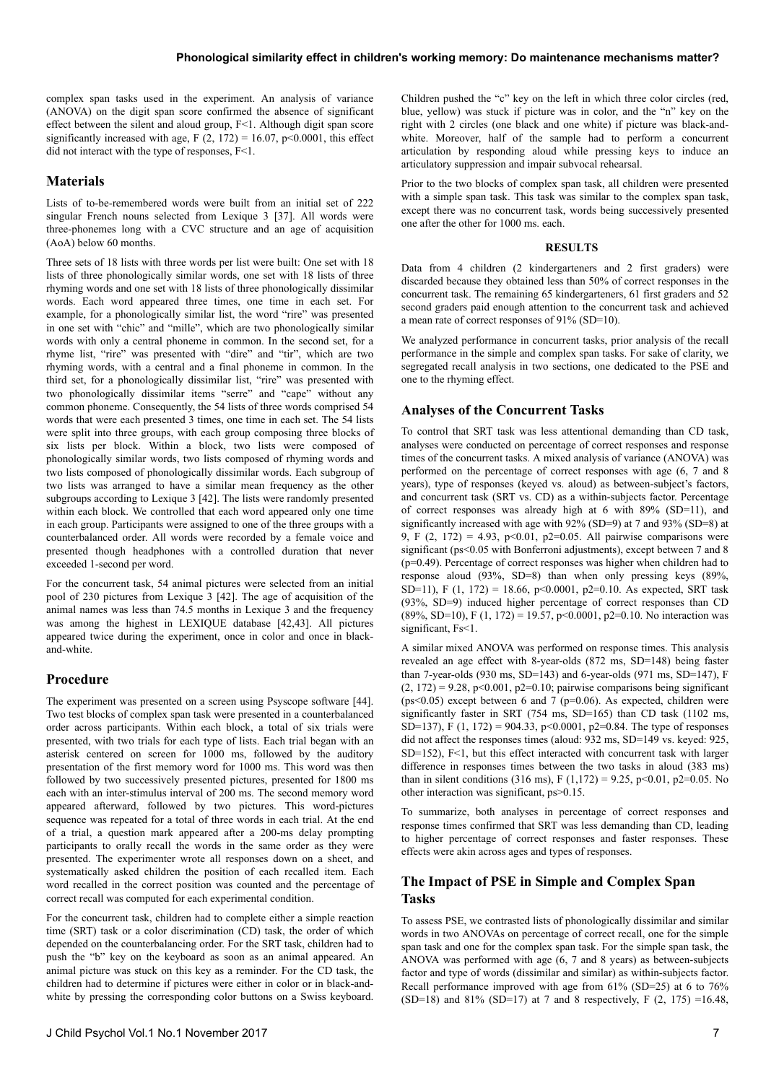complex span tasks used in the experiment. An analysis of variance (ANOVA) on the digit span score confirmed the absence of significant effect between the silent and aloud group, F<1. Although digit span score significantly increased with age,  $F(2, 172) = 16.07$ ,  $p \le 0.0001$ , this effect did not interact with the type of responses, F<1.

### **Materials**

Lists of to-be-remembered words were built from an initial set of 222 singular French nouns selected from Lexique 3 [37]. All words were three-phonemes long with a CVC structure and an age of acquisition (AoA) below 60 months.

Three sets of 18 lists with three words per list were built: One set with 18 lists of three phonologically similar words, one set with 18 lists of three rhyming words and one set with 18 lists of three phonologically dissimilar words. Each word appeared three times, one time in each set. For example, for a phonologically similar list, the word "rire" was presented in one set with "chic" and "mille", which are two phonologically similar words with only a central phoneme in common. In the second set, for a rhyme list, "rire" was presented with "dire" and "tir", which are two rhyming words, with a central and a final phoneme in common. In the third set, for a phonologically dissimilar list, "rire" was presented with two phonologically dissimilar items "serre" and "cape" without any common phoneme. Consequently, the 54 lists of three words comprised 54 words that were each presented 3 times, one time in each set. The 54 lists were split into three groups, with each group composing three blocks of six lists per block. Within a block, two lists were composed of phonologically similar words, two lists composed of rhyming words and two lists composed of phonologically dissimilar words. Each subgroup of two lists was arranged to have a similar mean frequency as the other subgroups according to Lexique 3 [42]. The lists were randomly presented within each block. We controlled that each word appeared only one time in each group. Participants were assigned to one of the three groups with a counterbalanced order. All words were recorded by a female voice and presented though headphones with a controlled duration that never exceeded 1-second per word.

For the concurrent task, 54 animal pictures were selected from an initial pool of 230 pictures from Lexique 3 [42]. The age of acquisition of the animal names was less than 74.5 months in Lexique 3 and the frequency was among the highest in LEXIQUE database [42,43]. All pictures appeared twice during the experiment, once in color and once in blackand-white.

#### **Procedure**

The experiment was presented on a screen using Psyscope software [44]. Two test blocks of complex span task were presented in a counterbalanced order across participants. Within each block, a total of six trials were presented, with two trials for each type of lists. Each trial began with an asterisk centered on screen for 1000 ms, followed by the auditory presentation of the first memory word for 1000 ms. This word was then followed by two successively presented pictures, presented for 1800 ms each with an inter-stimulus interval of 200 ms. The second memory word appeared afterward, followed by two pictures. This word-pictures sequence was repeated for a total of three words in each trial. At the end of a trial, a question mark appeared after a 200-ms delay prompting participants to orally recall the words in the same order as they were presented. The experimenter wrote all responses down on a sheet, and systematically asked children the position of each recalled item. Each word recalled in the correct position was counted and the percentage of correct recall was computed for each experimental condition.

For the concurrent task, children had to complete either a simple reaction time (SRT) task or a color discrimination (CD) task, the order of which depended on the counterbalancing order. For the SRT task, children had to push the "b" key on the keyboard as soon as an animal appeared. An animal picture was stuck on this key as a reminder. For the CD task, the children had to determine if pictures were either in color or in black-andwhite by pressing the corresponding color buttons on a Swiss keyboard.

Children pushed the "c" key on the left in which three color circles (red, blue, yellow) was stuck if picture was in color, and the "n" key on the right with 2 circles (one black and one white) if picture was black-andwhite. Moreover, half of the sample had to perform a concurrent articulation by responding aloud while pressing keys to induce an articulatory suppression and impair subvocal rehearsal.

Prior to the two blocks of complex span task, all children were presented with a simple span task. This task was similar to the complex span task, except there was no concurrent task, words being successively presented one after the other for 1000 ms. each.

#### **RESULTS**

Data from 4 children (2 kindergarteners and 2 first graders) were discarded because they obtained less than 50% of correct responses in the concurrent task. The remaining 65 kindergarteners, 61 first graders and 52 second graders paid enough attention to the concurrent task and achieved a mean rate of correct responses of 91% (SD=10).

We analyzed performance in concurrent tasks, prior analysis of the recall performance in the simple and complex span tasks. For sake of clarity, we segregated recall analysis in two sections, one dedicated to the PSE and one to the rhyming effect.

### **Analyses of the Concurrent Tasks**

To control that SRT task was less attentional demanding than CD task, analyses were conducted on percentage of correct responses and response times of the concurrent tasks. A mixed analysis of variance (ANOVA) was performed on the percentage of correct responses with age (6, 7 and 8 years), type of responses (keyed vs. aloud) as between-subject's factors, and concurrent task (SRT vs. CD) as a within-subjects factor. Percentage of correct responses was already high at 6 with 89% (SD=11), and significantly increased with age with 92% (SD=9) at 7 and 93% (SD=8) at 9, F  $(2, 172) = 4.93$ , p<0.01, p2=0.05. All pairwise comparisons were significant (ps<0.05 with Bonferroni adjustments), except between 7 and 8 (p=0.49). Percentage of correct responses was higher when children had to response aloud (93%, SD=8) than when only pressing keys (89%, SD=11), F (1, 172) = 18.66, p<0.0001, p2=0.10. As expected, SRT task (93%, SD=9) induced higher percentage of correct responses than CD  $(89\%, SD=10)$ , F  $(1, 172) = 19.57$ , p<0.0001, p2=0.10. No interaction was significant, Fs<1.

A similar mixed ANOVA was performed on response times. This analysis revealed an age effect with 8-year-olds (872 ms, SD=148) being faster than 7-year-olds (930 ms, SD=143) and 6-year-olds (971 ms, SD=147), F  $(2, 172) = 9.28$ , p<0.001, p2=0.10; pairwise comparisons being significant ( $ps \leq 0.05$ ) except between 6 and 7 ( $p=0.06$ ). As expected, children were significantly faster in SRT (754 ms, SD=165) than CD task (1102 ms, SD=137), F (1, 172) = 904.33, p<0.0001, p2=0.84. The type of responses did not affect the responses times (aloud: 932 ms, SD=149 vs. keyed: 925, SD=152), F<1, but this effect interacted with concurrent task with larger difference in responses times between the two tasks in aloud (383 ms) than in silent conditions (316 ms), F (1,172) = 9.25, p<0.01, p2=0.05. No other interaction was significant, ps>0.15.

To summarize, both analyses in percentage of correct responses and response times confirmed that SRT was less demanding than CD, leading to higher percentage of correct responses and faster responses. These effects were akin across ages and types of responses.

### **The Impact of PSE in Simple and Complex Span Tasks**

To assess PSE, we contrasted lists of phonologically dissimilar and similar words in two ANOVAs on percentage of correct recall, one for the simple span task and one for the complex span task. For the simple span task, the ANOVA was performed with age (6, 7 and 8 years) as between-subjects factor and type of words (dissimilar and similar) as within-subjects factor. Recall performance improved with age from 61% (SD=25) at 6 to 76% (SD=18) and 81% (SD=17) at 7 and 8 respectively, F  $(2, 175)$  =16.48,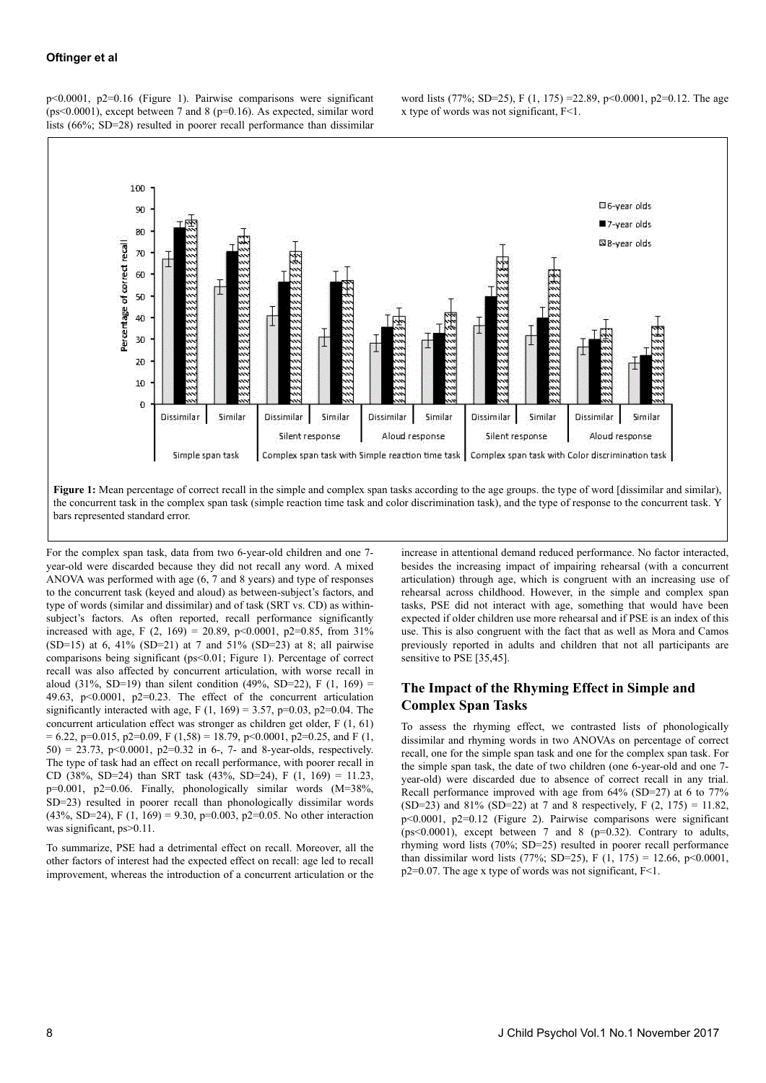p<0.0001, p2=0.16 (Figure 1). Pairwise comparisons were significant ( $ps \leq 0.0001$ ), except between 7 and 8 ( $p = 0.16$ ). As expected, similar word lists (66%; SD=28) resulted in poorer recall performance than dissimilar





For the complex span task, data from two 6-year-old children and one 7 year-old were discarded because they did not recall any word. A mixed ANOVA was performed with age (6, 7 and 8 years) and type of responses to the concurrent task (keyed and aloud) as between-subject's factors, and type of words (similar and dissimilar) and of task (SRT vs. CD) as withinsubject's factors. As often reported, recall performance significantly increased with age, F (2, 169) = 20.89, p<0.0001, p2=0.85, from 31% (SD=15) at 6, 41% (SD=21) at 7 and 51% (SD=23) at 8; all pairwise comparisons being significant (ps<0.01; Figure 1). Percentage of correct recall was also affected by concurrent articulation, with worse recall in aloud (31%, SD=19) than silent condition (49%, SD=22), F  $(1, 169)$  = 49.63,  $p<0.0001$ ,  $p2=0.23$ . The effect of the concurrent articulation significantly interacted with age, F (1, 169) = 3.57, p=0.03, p2=0.04. The concurrent articulation effect was stronger as children get older, F (1, 61)  $= 6.22$ , p=0.015, p2=0.09, F (1,58) = 18.79, p<0.0001, p2=0.25, and F (1, 50) = 23.73, p<0.0001, p2=0.32 in 6-, 7- and 8-year-olds, respectively. The type of task had an effect on recall performance, with poorer recall in CD (38%, SD=24) than SRT task (43%, SD=24), F (1, 169) = 11.23, p=0.001, p2=0.06. Finally, phonologically similar words (M=38%, SD=23) resulted in poorer recall than phonologically dissimilar words (43%, SD=24), F (1, 169) = 9.30, p=0.003, p2=0.05. No other interaction was significant, ps>0.11.

To summarize, PSE had a detrimental effect on recall. Moreover, all the other factors of interest had the expected effect on recall: age led to recall improvement, whereas the introduction of a concurrent articulation or the increase in attentional demand reduced performance. No factor interacted, besides the increasing impact of impairing rehearsal (with a concurrent articulation) through age, which is congruent with an increasing use of rehearsal across childhood. However, in the simple and complex span tasks, PSE did not interact with age, something that would have been expected if older children use more rehearsal and if PSE is an index of this use. This is also congruent with the fact that as well as Mora and Camos previously reported in adults and children that not all participants are sensitive to PSE [35,45].

## **The Impact of the Rhyming Effect in Simple and Complex Span Tasks**

To assess the rhyming effect, we contrasted lists of phonologically dissimilar and rhyming words in two ANOVAs on percentage of correct recall, one for the simple span task and one for the complex span task. For the simple span task, the date of two children (one 6-year-old and one 7 year-old) were discarded due to absence of correct recall in any trial. Recall performance improved with age from 64% (SD=27) at 6 to 77% (SD=23) and 81% (SD=22) at 7 and 8 respectively, F  $(2, 175) = 11.82$ , p<0.0001, p2=0.12 (Figure 2). Pairwise comparisons were significant ( $ps<0.0001$ ), except between 7 and 8 ( $p=0.32$ ). Contrary to adults, rhyming word lists (70%; SD=25) resulted in poorer recall performance than dissimilar word lists (77%; SD=25), F (1, 175) = 12.66, p<0.0001, p2=0.07. The age x type of words was not significant, F<1.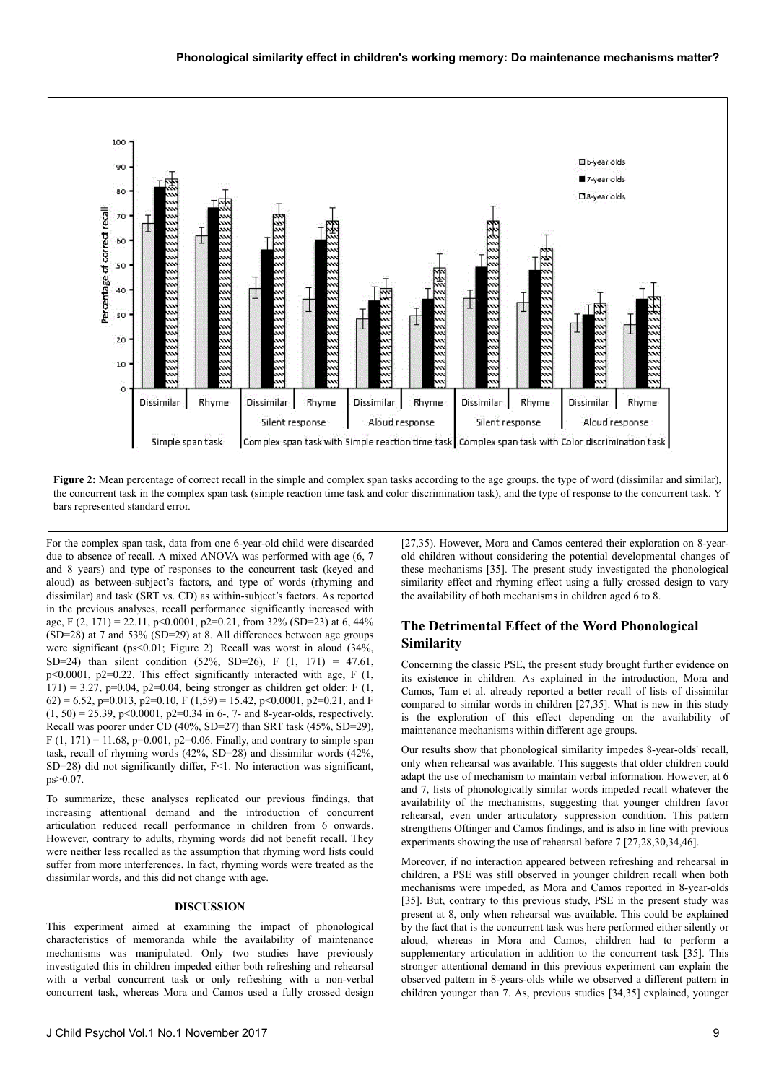

bars represented standard error.

For the complex span task, data from one 6-year-old child were discarded due to absence of recall. A mixed ANOVA was performed with age (6, 7 and 8 years) and type of responses to the concurrent task (keyed and aloud) as between-subject's factors, and type of words (rhyming and dissimilar) and task (SRT vs. CD) as within-subject's factors. As reported in the previous analyses, recall performance significantly increased with age, F (2, 171) = 22.11, p<0.0001, p2=0.21, from 32% (SD=23) at 6, 44% (SD=28) at 7 and 53% (SD=29) at 8. All differences between age groups were significant (ps<0.01; Figure 2). Recall was worst in aloud (34%, SD=24) than silent condition (52%, SD=26), F  $(1, 171) = 47.61$ , p<0.0001, p2=0.22. This effect significantly interacted with age, F (1, 171) = 3.27, p=0.04, p2=0.04, being stronger as children get older: F  $(1, 1)$ 62) = 6.52, p=0.013, p2=0.10, F (1,59) = 15.42, p<0.0001, p2=0.21, and F  $(1, 50) = 25.39$ , p<0.0001, p2=0.34 in 6-, 7- and 8-year-olds, respectively. Recall was poorer under CD (40%, SD=27) than SRT task (45%, SD=29), F  $(1, 171) = 11.68$ , p=0.001, p2=0.06. Finally, and contrary to simple span task, recall of rhyming words (42%, SD=28) and dissimilar words (42%, SD=28) did not significantly differ, F<1. No interaction was significant, ps>0.07.

To summarize, these analyses replicated our previous findings, that increasing attentional demand and the introduction of concurrent articulation reduced recall performance in children from 6 onwards. However, contrary to adults, rhyming words did not benefit recall. They were neither less recalled as the assumption that rhyming word lists could suffer from more interferences. In fact, rhyming words were treated as the dissimilar words, and this did not change with age.

#### **DISCUSSION**

This experiment aimed at examining the impact of phonological characteristics of memoranda while the availability of maintenance mechanisms was manipulated. Only two studies have previously investigated this in children impeded either both refreshing and rehearsal with a verbal concurrent task or only refreshing with a non-verbal concurrent task, whereas Mora and Camos used a fully crossed design [27,35). However, Mora and Camos centered their exploration on 8-yearold children without considering the potential developmental changes of these mechanisms [35]. The present study investigated the phonological similarity effect and rhyming effect using a fully crossed design to vary the availability of both mechanisms in children aged 6 to 8.

### **The Detrimental Effect of the Word Phonological Similarity**

Concerning the classic PSE, the present study brought further evidence on its existence in children. As explained in the introduction, Mora and Camos, Tam et al. already reported a better recall of lists of dissimilar compared to similar words in children [27,35]. What is new in this study is the exploration of this effect depending on the availability of maintenance mechanisms within different age groups.

Our results show that phonological similarity impedes 8-year-olds' recall, only when rehearsal was available. This suggests that older children could adapt the use of mechanism to maintain verbal information. However, at 6 and 7, lists of phonologically similar words impeded recall whatever the availability of the mechanisms, suggesting that younger children favor rehearsal, even under articulatory suppression condition. This pattern strengthens Oftinger and Camos findings, and is also in line with previous experiments showing the use of rehearsal before 7 [27,28,30,34,46].

Moreover, if no interaction appeared between refreshing and rehearsal in children, a PSE was still observed in younger children recall when both mechanisms were impeded, as Mora and Camos reported in 8-year-olds [35]. But, contrary to this previous study, PSE in the present study was present at 8, only when rehearsal was available. This could be explained by the fact that is the concurrent task was here performed either silently or aloud, whereas in Mora and Camos, children had to perform a supplementary articulation in addition to the concurrent task [35]. This stronger attentional demand in this previous experiment can explain the observed pattern in 8-years-olds while we observed a different pattern in children younger than 7. As, previous studies [34,35] explained, younger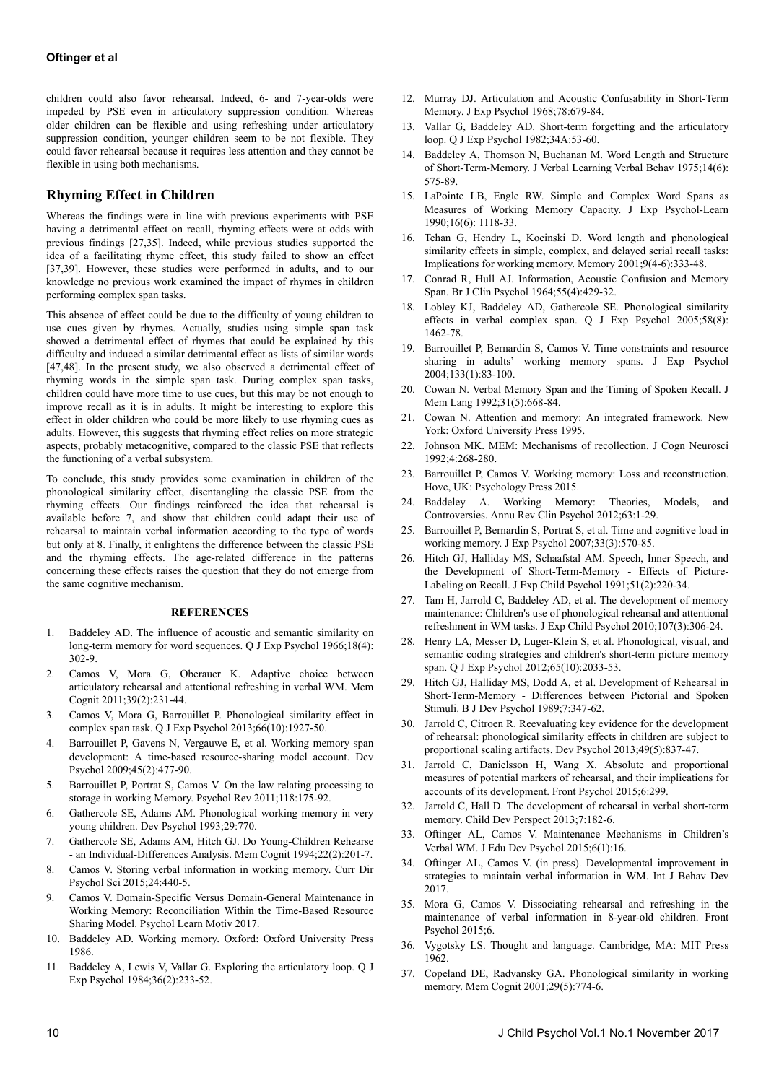children could also favor rehearsal. Indeed, 6- and 7-year-olds were impeded by PSE even in articulatory suppression condition. Whereas older children can be flexible and using refreshing under articulatory suppression condition, younger children seem to be not flexible. They could favor rehearsal because it requires less attention and they cannot be flexible in using both mechanisms.

### **Rhyming Effect in Children**

Whereas the findings were in line with previous experiments with PSE having a detrimental effect on recall, rhyming effects were at odds with previous findings [27,35]. Indeed, while previous studies supported the idea of a facilitating rhyme effect, this study failed to show an effect [37,39]. However, these studies were performed in adults, and to our knowledge no previous work examined the impact of rhymes in children performing complex span tasks.

This absence of effect could be due to the difficulty of young children to use cues given by rhymes. Actually, studies using simple span task showed a detrimental effect of rhymes that could be explained by this difficulty and induced a similar detrimental effect as lists of similar words [47,48]. In the present study, we also observed a detrimental effect of rhyming words in the simple span task. During complex span tasks, children could have more time to use cues, but this may be not enough to improve recall as it is in adults. It might be interesting to explore this effect in older children who could be more likely to use rhyming cues as adults. However, this suggests that rhyming effect relies on more strategic aspects, probably metacognitive, compared to the classic PSE that reflects the functioning of a verbal subsystem.

To conclude, this study provides some examination in children of the phonological similarity effect, disentangling the classic PSE from the rhyming effects. Our findings reinforced the idea that rehearsal is available before 7, and show that children could adapt their use of rehearsal to maintain verbal information according to the type of words but only at 8. Finally, it enlightens the difference between the classic PSE and the rhyming effects. The age-related difference in the patterns concerning these effects raises the question that they do not emerge from the same cognitive mechanism.

#### **REFERENCES**

- 1. Baddeley AD. The influence of acoustic and semantic similarity on long-term memory for word sequences. Q J Exp Psychol 1966;18(4): 302-9.
- 2. Camos V, Mora G, Oberauer K. Adaptive choice between articulatory rehearsal and attentional refreshing in verbal WM. Mem Cognit 2011;39(2):231-44.
- 3. Camos V, Mora G, Barrouillet P. Phonological similarity effect in complex span task. Q J Exp Psychol 2013;66(10):1927-50.
- 4. Barrouillet P, Gavens N, Vergauwe E, et al. Working memory span development: A time-based resource-sharing model account. Dev Psychol 2009;45(2):477-90.
- 5. Barrouillet P, Portrat S, Camos V. On the law relating processing to storage in working Memory. Psychol Rev 2011;118:175-92.
- 6. Gathercole SE, Adams AM. Phonological working memory in very young children. Dev Psychol 1993;29:770.
- 7. Gathercole SE, Adams AM, Hitch GJ. Do Young-Children Rehearse - an Individual-Differences Analysis. Mem Cognit 1994;22(2):201-7.
- 8. Camos V. Storing verbal information in working memory. Curr Dir Psychol Sci 2015;24:440-5.
- 9. Camos V. Domain-Specific Versus Domain-General Maintenance in Working Memory: Reconciliation Within the Time-Based Resource Sharing Model. Psychol Learn Motiv 2017.
- 10. Baddeley AD. Working memory. Oxford: Oxford University Press 1986.
- 11. Baddeley A, Lewis V, Vallar G. Exploring the articulatory loop. Q J Exp Psychol 1984;36(2):233-52.
- 12. Murray DJ. Articulation and Acoustic Confusability in Short-Term Memory. J Exp Psychol 1968;78:679-84.
- 13. Vallar G, Baddeley AD. Short-term forgetting and the articulatory loop. Q J Exp Psychol 1982;34A:53-60.
- 14. Baddeley A, Thomson N, Buchanan M. Word Length and Structure of Short-Term-Memory. J Verbal Learning Verbal Behav 1975;14(6): 575-89.
- 15. LaPointe LB, Engle RW. Simple and Complex Word Spans as Measures of Working Memory Capacity. J Exp Psychol-Learn 1990;16(6): 1118-33.
- 16. Tehan G, Hendry L, Kocinski D. Word length and phonological similarity effects in simple, complex, and delayed serial recall tasks: Implications for working memory. Memory 2001;9(4-6):333-48.
- 17. Conrad R, Hull AJ. Information, Acoustic Confusion and Memory Span. Br J Clin Psychol 1964;55(4):429-32.
- 18. Lobley KJ, Baddeley AD, Gathercole SE. Phonological similarity effects in verbal complex span. Q J Exp Psychol 2005;58(8): 1462-78.
- 19. Barrouillet P, Bernardin S, Camos V. Time constraints and resource sharing in adults' working memory spans. J Exp Psychol 2004;133(1):83-100.
- 20. Cowan N. Verbal Memory Span and the Timing of Spoken Recall. J Mem Lang 1992;31(5):668-84.
- 21. Cowan N. Attention and memory: An integrated framework. New York: Oxford University Press 1995.
- 22. Johnson MK. MEM: Mechanisms of recollection. J Cogn Neurosci 1992;4:268-280.
- 23. Barrouillet P, Camos V. Working memory: Loss and reconstruction. Hove, UK: Psychology Press 2015.
- 24. Baddeley A. Working Memory: Theories, Models, and Controversies. Annu Rev Clin Psychol 2012;63:1-29.
- 25. Barrouillet P, Bernardin S, Portrat S, et al. Time and cognitive load in working memory. J Exp Psychol 2007;33(3):570-85.
- 26. Hitch GJ, Halliday MS, Schaafstal AM. Speech, Inner Speech, and the Development of Short-Term-Memory - Effects of Picture-Labeling on Recall. J Exp Child Psychol 1991;51(2):220-34.
- 27. Tam H, Jarrold C, Baddeley AD, et al. The development of memory maintenance: Children's use of phonological rehearsal and attentional refreshment in WM tasks. J Exp Child Psychol 2010;107(3):306-24.
- 28. Henry LA, Messer D, Luger-Klein S, et al. Phonological, visual, and semantic coding strategies and children's short-term picture memory span. Q J Exp Psychol 2012;65(10):2033-53.
- 29. Hitch GJ, Halliday MS, Dodd A, et al. Development of Rehearsal in Short-Term-Memory - Differences between Pictorial and Spoken Stimuli. B J Dev Psychol 1989;7:347-62.
- 30. Jarrold C, Citroen R. Reevaluating key evidence for the development of rehearsal: phonological similarity effects in children are subject to proportional scaling artifacts. Dev Psychol 2013;49(5):837-47.
- 31. Jarrold C, Danielsson H, Wang X. Absolute and proportional measures of potential markers of rehearsal, and their implications for accounts of its development. Front Psychol 2015;6:299.
- 32. Jarrold C, Hall D. The development of rehearsal in verbal short-term memory. Child Dev Perspect 2013;7:182-6.
- 33. Oftinger AL, Camos V. Maintenance Mechanisms in Children's Verbal WM. J Edu Dev Psychol 2015;6(1):16.
- 34. Oftinger AL, Camos V. (in press). Developmental improvement in strategies to maintain verbal information in WM. Int J Behav Dev 2017.
- 35. Mora G, Camos V. Dissociating rehearsal and refreshing in the maintenance of verbal information in 8-year-old children. Front Psychol 2015;6.
- 36. Vygotsky LS. Thought and language. Cambridge, MA: MIT Press 1962.
- 37. Copeland DE, Radvansky GA. Phonological similarity in working memory. Mem Cognit 2001;29(5):774-6.